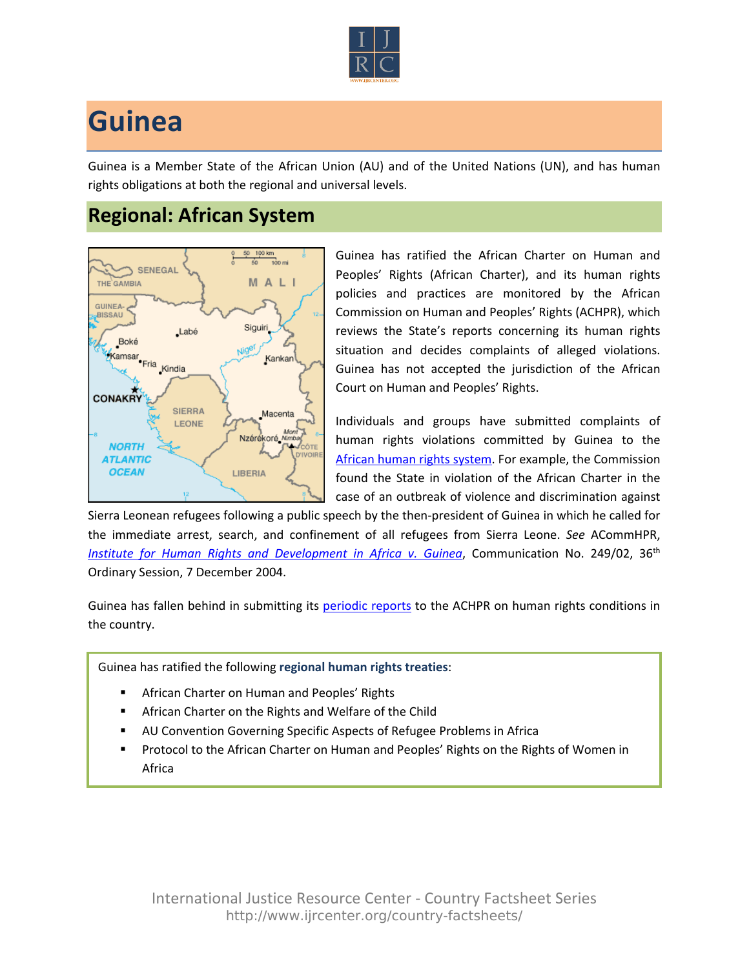

## **Guinea**

Guinea is a Member State of the African Union (AU) and of the United Nations (UN), and has human rights obligations at both the regional and universal levels.

## **Regional: African System**



Guinea has ratified the African Charter on Human and Peoples' Rights (African Charter), and its human rights policies and practices are monitored by the African Commission on Human and Peoples' Rights (ACHPR), which reviews the State's reports concerning its human rights situation and decides complaints of alleged violations. Guinea has not accepted the jurisdiction of the African Court on Human and Peoples' Rights.

Individuals and groups have submitted complaints of human rights violations committed by Guinea to the [African human rights system](http://www.ijrcenter.org/regional/african/). For example, the Commission found the State in violation of the African Charter in the case of an outbreak of violence and discrimination against

Sierra Leonean refugees following a public speech by the then-president of Guinea in which he called for the immediate arrest, search, and confinement of all refugees from Sierra Leone. *See* ACommHPR, *[Institute for Human Rights and Development in Africa v. Guinea](http://www.achpr.org/files/sessions/36th/comunications/249.02/achpr36_249_02_eng.pdf)*, Communication No. 249/02, 36<sup>th</sup> Ordinary Session, 7 December 2004.

Guinea has fallen behind in submitting its [periodic reports](http://www.achpr.org/states/guinea/) to the ACHPR on human rights conditions in the country.

Guinea has ratified the following **regional human rights treaties**:

- African Charter on Human and Peoples' Rights
- African Charter on the Rights and Welfare of the Child
- AU Convention Governing Specific Aspects of Refugee Problems in Africa
- Protocol to the African Charter on Human and Peoples' Rights on the Rights of Women in Africa